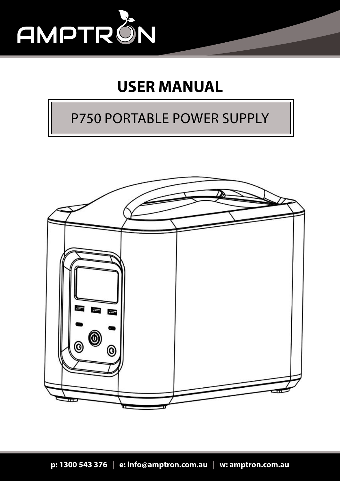

### **USER MANUAL**

### P750 PORTABLE POWER SUPPLY

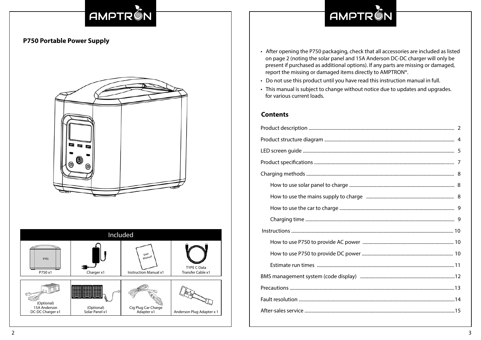# AMPTRON

# AMPTRON

### **P750 Portable Power Supply**





- After opening the P750 packaging, check that all accessories are included as listed on page 2 (noting the solar panel and 15A Anderson DC-DC charger will only be present if purchased as additional options). If any parts are missing or damaged, report the missing or damaged items directly to AMPTRON®.
- Do not use this product until you have read this instruction manual in full.
- This manual is subject to change without notice due to updates and upgrades. for various current loads.

#### **Contents**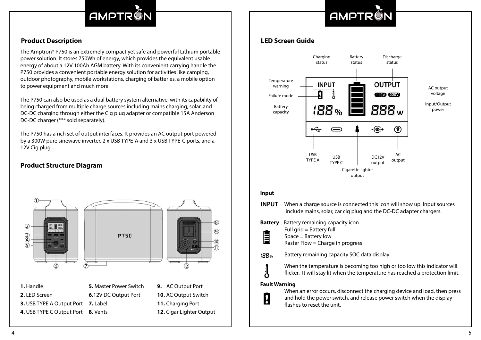### AMPTRÓ

# **AMPTR**

#### **Product Description**

The Amptron® P750 is an extremely compact yet safe and powerful Lithium portable power solution. It stores 750Wh of energy, which provides the equivalent usable energy of about a 12V 100Ah AGM battery. With its convenient carrying handle the P750 provides a convenient portable energy solution for activities like camping, outdoor photography, mobile workstations, charging of batteries, a mobile option to power equipment and much more.

The P750 can also be used as a dual battery system alternative, with its capability of being charged from multiple charge sources including mains charging, solar, and DC-DC charging through either the Cig plug adapter or compatible 15A Anderson DC-DC charger (\*\*\* sold separately).

The P750 has a rich set of output interfaces. It provides an AC output port powered by a 300W pure sinewave inverter, 2 x USB TYPE-A and 3 x USB TYPE-C ports, and a 12V Cig plug.

#### **Product Structure Diagram**



#### **LED Screen Guide**



#### **Input**

- **INPUT** When a charge source is connected this icon will show up. Input sources include mains, solar, car cig plug and the DC-DC adapter chargers. **Battery** Battery remaining capacity icon
- Full grid = Battery full<br>Space = Battery low<br>Raster Flow = Charge Space = Battery low
	- Raster Flow = Charge in progress
- 188% Battery remaining capacity SOC data display
- When the temperature is becoming too high or too low this indicator will<br>flicker. It will stay lit when the temperature has reached a protection limit. flicker. It will stay lit when the temperature has reached a protection limit.

#### **Fault Warning**



When an error occurs, disconnect the charging device and load, then press<br>and hold the power switch, and release power switch when the display and hold the power switch, and release power switch when the display flashes to reset the unit.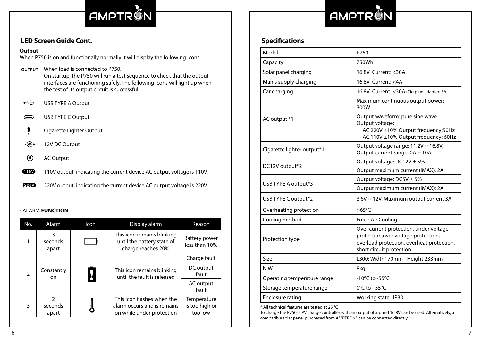

# **AMP**

| Model                               | P750                                                                                                                                                    |  |
|-------------------------------------|---------------------------------------------------------------------------------------------------------------------------------------------------------|--|
| Capacity                            | 750Wh                                                                                                                                                   |  |
| Solar panel charging                | 16.8V Current: < 30A                                                                                                                                    |  |
| Mains supply charging               | 16.8V Current: <4A                                                                                                                                      |  |
| Car charging                        | 16.8V Current: < 30A (Cig plug adapter: 3A)                                                                                                             |  |
|                                     | Maximum continuous output power:<br>300W                                                                                                                |  |
| AC output *1                        | Output waveform: pure sine wave<br>Output voltage:<br>AC 220V ±10% Output frequency:50Hz<br>AC 110V ±10% Output frequency: 60Hz                         |  |
| Cigarette lighter output*1          | Output voltage range: 11.2V ~ 16.8V,<br>Output current range: 0A ~ 10A                                                                                  |  |
| DC12V output*2                      | Output voltage: $DC12V \pm 5\%$                                                                                                                         |  |
|                                     | Output maximum current (IMAX): 2A                                                                                                                       |  |
| USB TYPE A output*3                 | Output voltage: $DC5V \pm 5\%$                                                                                                                          |  |
|                                     | Output maximum current (IMAX): 2A                                                                                                                       |  |
| USB TYPE C output*2                 | 3.6V ~ 12V. Maximum output current 3A                                                                                                                   |  |
| Overheating protection              | $>65^{\circ}$ C                                                                                                                                         |  |
| Cooling method<br>Force Air Cooling |                                                                                                                                                         |  |
| Protection type                     | Over current protection, under voltage<br>protection, over voltage protection,<br>overload protection, overheat protection,<br>short circuit protection |  |
| Size                                | L300: Width170mm - Height 233mm                                                                                                                         |  |
| N.W.                                | 8kg                                                                                                                                                     |  |
| Operating temperature range         | -10 $^{\circ}$ C to -55 $^{\circ}$ C                                                                                                                    |  |
| Storage temperature range           | 0°C to -55°C                                                                                                                                            |  |
| <b>Enclosure rating</b>             | Working state: IP30                                                                                                                                     |  |

\* All technical features are tested at 25 °C

To charge the P750, a PV charge controller with an output of around 16.8V can be used. Alternatively, a compatible solar panel purchased from AMPTRON® can be connected directly.

#### **LED Screen Guide Cont. Specifications**

#### **Output**

When P750 is on and functionally normally it will display the following icons:

- When load is connected to P750. On startup, the P750 will run a test sequence to check that the output interfaces are functioning safely. The following icons will light up when the test of its output circuit is successful:
- $\overrightarrow{C}$  USB TYPE A Output
- USB TYPE C Output
- **Cigarette Lighter Output**
- $\circled{e}$  12V DC Output
- **E** AC Output
- **110V** output, indicating the current device AC output voltage is 110V
- **220V** 220V output, indicating the current device AC output voltage is 220V

#### • ALARM **FUNCTION**

| No.           | Alarm                             | <b>Icon</b>                                                    | Display alarm                                                                          | Reason                                   |
|---------------|-----------------------------------|----------------------------------------------------------------|----------------------------------------------------------------------------------------|------------------------------------------|
|               | 3<br>seconds<br>apart             |                                                                | This icon remains blinking<br>until the battery state of<br>charge reaches 20%         | <b>Battery power</b><br>less than 10%    |
|               |                                   | This icon remains blinking<br>I<br>until the fault is released | Charge fault                                                                           |                                          |
| $\mathcal{P}$ | Constantly<br>on.                 |                                                                |                                                                                        | DC output<br>fault                       |
|               |                                   |                                                                |                                                                                        | AC output<br>fault                       |
| 3             | $\mathfrak z$<br>seconds<br>apart |                                                                | This icon flashes when the<br>alarm occurs and is remains<br>on while under protection | Temperature<br>is too high or<br>too low |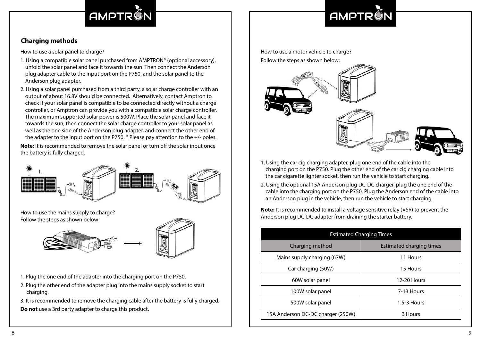## AMPTRO

# **AMPTR**

### **Charging methods**

How to use a solar panel to charge?

- 1. Using a compatible solar panel purchased from AMPTRON® (optional accessory), unfold the solar panel and face it towards the sun. Then connect the Anderson plug adapter cable to the input port on the P750, and the solar panel to the Anderson plug adapter.
- 2. Using a solar panel purchased from a third party, a solar charge controller with an output of about 16.8V should be connected. Alternatively, contact Amptron to check if your solar panel is compatible to be connected directly without a charge controller, or Amptron can provide you with a compatible solar charge controller. The maximum supported solar power is 500W. Place the solar panel and face it towards the sun, then connect the solar charge controller to your solar panel as well as the one side of the Anderson plug adapter, and connect the other end of the adapter to the input port on the P750.  $*$  Please pay attention to the  $+/-$  poles.

**Note:** It is recommended to remove the solar panel or turn off the solar input once the battery is fully charged.



How to use the mains supply to charge? Follow the steps as shown below:





- 1. Plug the one end of the adapter into the charging port on the P750.
- 2. Plug the other end of the adapter plug into the mains supply socket to start charging.

3. It is recommended to remove the charging cable after the battery is fully charged. **Do not** use a 3rd party adapter to charge this product.

How to use a motor vehicle to charge? Follow the steps as shown below:



- 1. Using the car cig charging adapter, plug one end of the cable into the charging port on the P750. Plug the other end of the car cig charging cable into the car cigarette lighter socket, then run the vehicle to start charging.
- 2. Using the optional 15A Anderson plug DC-DC charger, plug the one end of the cable into the charging port on the P750. Plug the Anderson end of the cable into an Anderson plug in the vehicle, then run the vehicle to start charging.

**Note:** It is recommended to install a voltage sensitive relay (VSR) to prevent the Anderson plug DC-DC adapter from draining the starter battery.

| <b>Estimated Charging Times</b>   |                          |  |  |
|-----------------------------------|--------------------------|--|--|
| Charging method                   | Estimated charging times |  |  |
| Mains supply charging (67W)       | 11 Hours                 |  |  |
| Car charging (50W)                | 15 Hours                 |  |  |
| 60W solar panel                   | 12-20 Hours              |  |  |
| 100W solar panel                  | 7-13 Hours               |  |  |
| 500W solar panel                  | $1.5 - 3$ Hours          |  |  |
| 15A Anderson DC-DC charger (250W) | 3 Hours                  |  |  |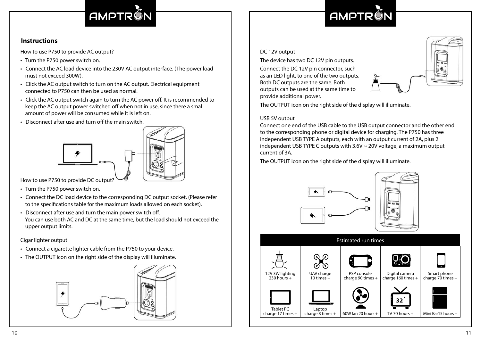### AMPTRO

# **AMPTR®**

#### **Instructions**

How to use P750 to provide AC output?

- Turn the P750 power switch on.
- Connect the AC load device into the 230V AC output interface. (The power load must not exceed 300W).
- Click the AC output switch to turn on the AC output. Electrical equipment connected to P750 can then be used as normal.
- Click the AC output switch again to turn the AC power off. It is recommended to keep the AC output power switched off when not in use, since there a small amount of power will be consumed while it is left on.
- Disconnect after use and turn off the main switch.



How to use P750 to provide DC output?

- Turn the P750 power switch on.
- Connect the DC load device to the corresponding DC output socket. (Please refer to the specifications table for the maximum loads allowed on each socket).
- Disconnect after use and turn the main power switch off. You can use both AC and DC at the same time, but the load should not exceed the upper output limits.

#### Cigar lighter output

- Connect a cigarette lighter cable from the P750 to your device.
- The OUTPUT icon on the right side of the display will illuminate.



#### DC 12V output

The device has two DC 12V pin outputs.

Connect the DC 12V pin connector, such as an LED light, to one of the two outputs. Both DC outputs are the same. Both outputs can be used at the same time to provide additional power.



The OUTPUT icon on the right side of the display will illuminate.

#### USB 5V output

Connect one end of the USB cable to the USB output connector and the other end to the corresponding phone or digital device for charging. The P750 has three independent USB TYPE A outputs, each with an output current of 2A, plus 2 independent USB TYPE C outputs with 3.6V ~ 20V voltage, a maximum output current of 3A.

The OUTPUT icon on the right side of the display will illuminate.



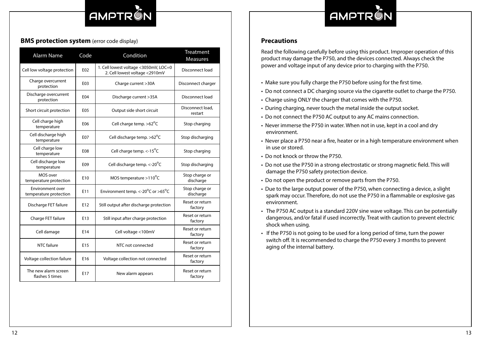## **AMPTR**

# **AMPT**

#### **BMS protection system** (error code display) **Precautions Precautions**

| <b>Alarm Name</b>                          | Code | Condition                                                               | Treatment<br><b>Measures</b> |
|--------------------------------------------|------|-------------------------------------------------------------------------|------------------------------|
| Cell low voltage protection                | E02  | 1. Cell lowest voltage <3050mV, LOC=0<br>2. Cell lowest voltage <2910mV | Disconnect load              |
| Charge overcurrent<br>protection           | E03  | Charge current > 30A                                                    | Disconnect charger           |
| Discharge overcurrent<br>protection        | E04  | Discharge current >35A                                                  | Disconnect load              |
| Short circuit protection                   | E05  | Output side short circuit                                               | Disconnect load,<br>restart  |
| Cell charge high<br>temperature            | E06  | Cell charge temp. >62°C                                                 | Stop charging                |
| Cell discharge high<br>temperature         | E07  | Cell discharge temp. > 62°C                                             | Stop discharging             |
| Cell charge low<br>temperature             | E08  | Cell charge temp. $\lt$ -15 <sup>o</sup> C                              | Stop charging                |
| Cell discharge low<br>temperature          | E09  | Cell discharge temp. $\lt$ -20 $\degree$ C                              | Stop discharging             |
| MOS over<br>temperature protection         | E10  | MOS temperature $>110^{\circ}$ C                                        | Stop charge or<br>discharge  |
| Environment over<br>temperature protection | E11  | Environment temp. <- 20°C or >65°C                                      | Stop charge or<br>discharge  |
| Discharge FET failure                      | E12  | Still output after discharge protection                                 | Reset or return<br>factory   |
| Charge FET failure                         | E13  | Still input after charge protection                                     | Reset or return<br>factory   |
| Cell damage                                | E14  | Cell voltage <100mV                                                     | Reset or return<br>factory   |
| NTC failure                                | E15  | NTC not connected                                                       | Reset or return<br>factory   |
| Voltage collection failure                 | E16  | Voltage collection not connected                                        | Reset or return<br>factory   |
| The new alarm screen<br>flashes 5 times    | E17  | New alarm appears                                                       | Reset or return<br>factory   |

Read the following carefully before using this product. Improper operation of this product may damage the P750, and the devices connected. Always check the power and voltage input of any device prior to charging with the P750.

- Make sure you fully charge the P750 before using for the first time.
- Do not connect a DC charging source via the cigarette outlet to charge the P750.
- Charge using ONLY the charger that comes with the P750.
- During charging, never touch the metal inside the output socket.
- Do not connect the P750 AC output to any AC mains connection.
- Never immerse the P750 in water. When not in use, kept in a cool and dry environment.
- Never place a P750 near a fire, heater or in a high temperature environment when in use or stored.
- Do not knock or throw the P750.
- Do not use the P750 in a strong electrostatic or strong magnetic field. This will damage the P750 safety protection device.
- Do not open the product or remove parts from the P750.
- Due to the large output power of the P750, when connecting a device, a slight spark may occur. Therefore, do not use the P750 in a flammable or explosive gas environment.
- The P750 AC output is a standard 220V sine wave voltage. This can be potentially dangerous, and/or fatal if used incorrectly. Treat with caution to prevent electric shock when using.
- If the P750 is not going to be used for a long period of time, turn the power switch off. It is recommended to charge the P750 every 3 months to prevent aging of the internal battery.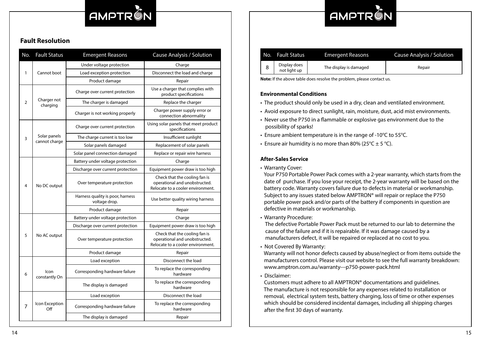## AMPTRON

# **AMPT**

#### **Fault Resolution**

| No.              | <b>Fault Status</b>              | <b>Emergent Reasons</b>                           | Cause Analysis / Solution                                                                           |
|------------------|----------------------------------|---------------------------------------------------|-----------------------------------------------------------------------------------------------------|
| 1<br>Cannot boot |                                  | Under voltage protection                          | Charge                                                                                              |
|                  |                                  | Load exception protection                         | Disconnect the load and charge                                                                      |
|                  |                                  | Product damage                                    | Repair                                                                                              |
|                  |                                  | Charge over current protection                    | Use a charger that complies with<br>product specifications                                          |
| 2                | Charger not<br>charging          | The charger is damaged                            | Replace the charger                                                                                 |
|                  |                                  | Charger is not working properly                   | Charger power supply error or<br>connection abnormality                                             |
|                  |                                  | Charge over current protection                    | Using solar panels that meet product<br>specifications                                              |
| 3                | Solar panels<br>cannot charge    | The charge current is too low                     | Insufficient sunlight                                                                               |
|                  |                                  | Solar panels damaged                              | Replacement of solar panels                                                                         |
|                  |                                  | Solar panel connection damaged                    | Replace or repair wire harness                                                                      |
|                  | Battery under voltage protection | Charge                                            |                                                                                                     |
|                  |                                  | Discharge over current protection                 | Equipment power draw is too high                                                                    |
| 4                | No DC output                     | Over temperature protection                       | Check that the cooling fan is<br>operational and unobstructed.<br>Relocate to a cooler environment. |
|                  |                                  | Harness quality is poor, harness<br>voltage drop. | Use better quality wiring harness                                                                   |
|                  |                                  | Product damage                                    | Repair                                                                                              |
|                  |                                  | Battery under voltage protection                  | Charge                                                                                              |
|                  |                                  | Discharge over current protection                 | Equipment power draw is too high                                                                    |
| 5                | No AC output                     | Over temperature protection                       | Check that the cooling fan is<br>operational and unobstructed.<br>Relocate to a cooler environment. |
|                  |                                  | Product damage                                    | Repair                                                                                              |
|                  | Icon<br>constantly On            | Load exception                                    | Disconnect the load                                                                                 |
| 6                |                                  | Corresponding hardware failure                    | To replace the corresponding<br>hardware                                                            |
|                  |                                  | The display is damaged                            | To replace the corresponding<br>hardware                                                            |
|                  | Icon Exception<br>Off            | Load exception                                    | Disconnect the load                                                                                 |
| 7                |                                  | Corresponding hardware failure                    | To replace the corresponding<br>hardware                                                            |
|                  |                                  | The display is damaged                            | Repair                                                                                              |

| No. I | <b>Fault Status</b>          | <b>Emergent Reasons</b> | Cause Analysis / Solution |
|-------|------------------------------|-------------------------|---------------------------|
| 8     | Display does<br>not liaht up | The display is damaged  | Repair                    |

**Note:** If the above table does resolve the problem, please contact us.

#### **Environmental Conditions**

- The product should only be used in a dry, clean and ventilated environment.
- Avoid exposure to direct sunlight, rain, moisture, dust, acid mist environments.
- Never use the P750 in a flammable or explosive gas environment due to the possibility of sparks!
- Ensure ambient temperature is in the range of -10 $^{\circ}$ C to 55 $^{\circ}$ C.
- Ensure air humidity is no more than 80% (25 $\degree$ C  $\pm$  5  $\degree$ C).

#### **After-Sales Service**

• Warranty Cover:

 Your P750 Portable Power Pack comes with a 2-year warranty, which starts from the date of purchase. If you lose your receipt, the 2-year warranty will be based on the battery code. Warranty covers failure due to defects in material or workmanship. Subject to any issues stated below AMPTRON® will repair or replace the P750 portable power pack and/or parts of the battery if components in question are defective in materials or workmanship.

• Warranty Procedure:

 The defective Portable Power Pack must be returned to our lab to determine the cause of the failure and if it is repairable. If it was damage caused by a manufacturers defect, it will be repaired or replaced at no cost to you.

• Not Covered By Warranty:

 Warranty will not honor defects caused by abuse/neglect or from items outside the manufacturers control. Please visit our website to see the full warranty breakdown: www.amptron.com.au/warranty---p750-power-pack.html

• Disclaimer:

 Customers must adhere to all AMPTRON® documentations and guidelines. The manufacture is not responsible for any expenses related to installation or removal, electrical system tests, battery charging, loss of time or other expenses which should be considered incidental damages, including all shipping charges after the first 30 days of warranty.